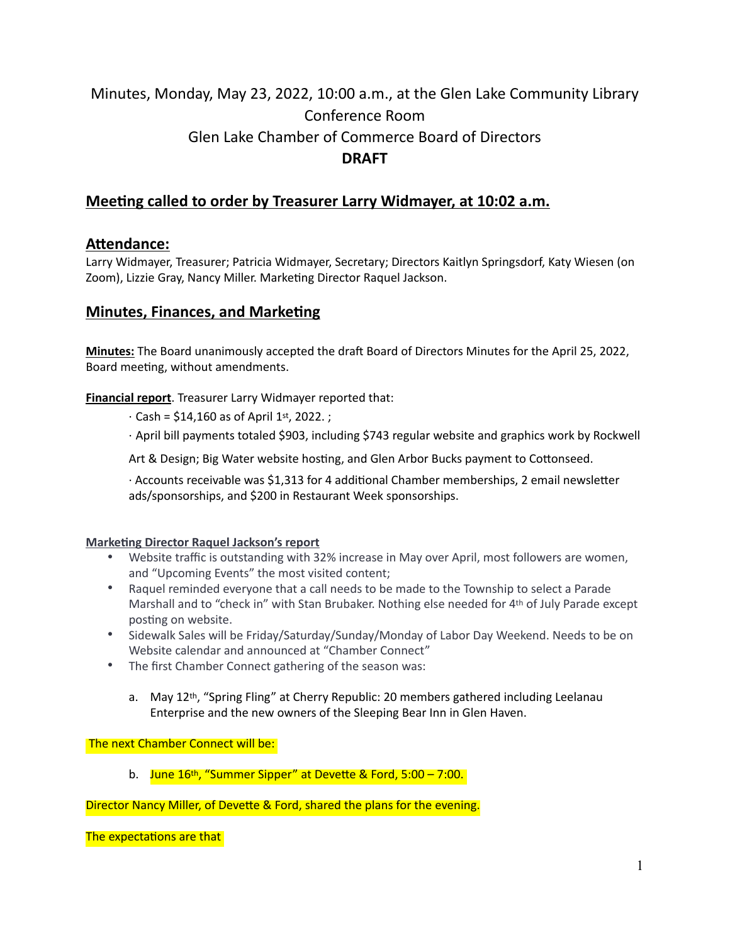# Minutes, Monday, May 23, 2022, 10:00 a.m., at the Glen Lake Community Library Conference Room Glen Lake Chamber of Commerce Board of Directors **DRAFT**

# **Meeting called to order by Treasurer Larry Widmayer, at 10:02 a.m.**

# **Attendance:**

Larry Widmayer, Treasurer; Patricia Widmayer, Secretary; Directors Kaitlyn Springsdorf, Katy Wiesen (on Zoom), Lizzie Gray, Nancy Miller. Marketing Director Raquel Jackson.

# **Minutes, Finances, and Marketing**

**Minutes:** The Board unanimously accepted the draft Board of Directors Minutes for the April 25, 2022, Board meeting, without amendments.

**Financial report**. Treasurer Larry Widmayer reported that:

- $\cdot$  Cash = \$14,160 as of April 1st, 2022. ;
- · April bill payments totaled \$903, including \$743 regular website and graphics work by Rockwell

Art & Design; Big Water website hosting, and Glen Arbor Bucks payment to Cottonseed.

· Accounts receivable was \$1,313 for 4 additional Chamber memberships, 2 email newsletter ads/sponsorships, and \$200 in Restaurant Week sponsorships.

#### **Marketing Director Raquel Jackson's report**

- Website traffic is outstanding with 32% increase in May over April, most followers are women, and "Upcoming Events" the most visited content;
- Raquel reminded everyone that a call needs to be made to the Township to select a Parade Marshall and to "check in" with Stan Brubaker. Nothing else needed for 4th of July Parade except posting on website.
- Sidewalk Sales will be Friday/Saturday/Sunday/Monday of Labor Day Weekend. Needs to be on Website calendar and announced at "Chamber Connect"
- The first Chamber Connect gathering of the season was:
	- a. May 12th, "Spring Fling" at Cherry Republic: 20 members gathered including Leelanau Enterprise and the new owners of the Sleeping Bear Inn in Glen Haven.

#### The next Chamber Connect will be:

b. June  $16<sup>th</sup>$ , "Summer Sipper" at Devette & Ford, 5:00 – 7:00.

Director Nancy Miller, of Devette & Ford, shared the plans for the evening.

The expectations are that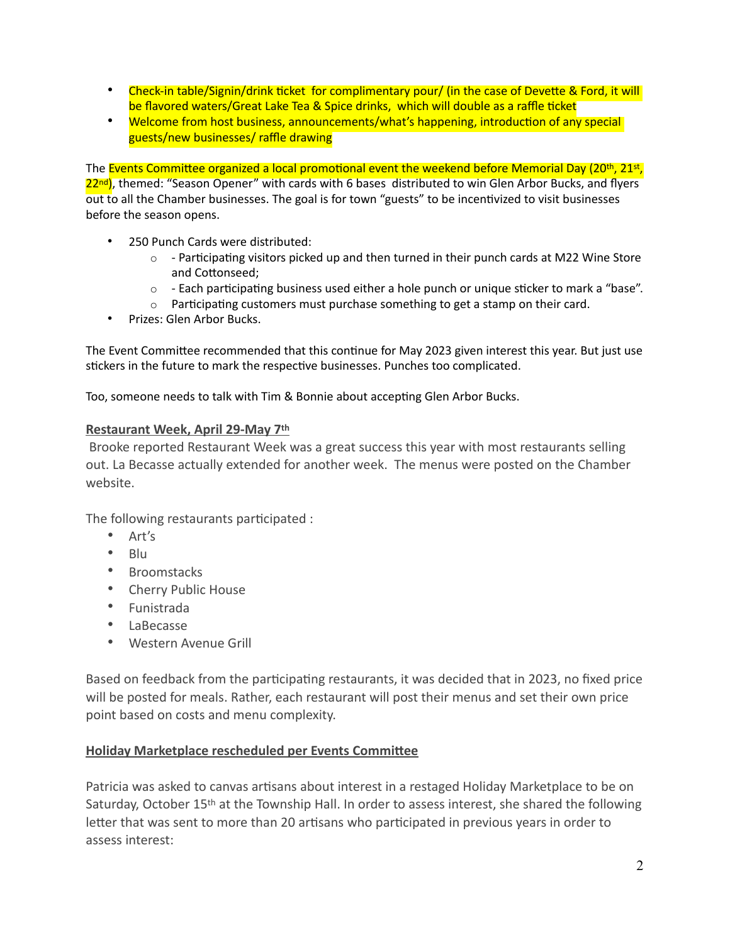- Check-in table/Signin/drink ticket for complimentary pour/ (in the case of Devette & Ford, it will be flavored waters/Great Lake Tea & Spice drinks, which will double as a raffle ticket
- Welcome from host business, announcements/what's happening, introduction of any special guests/new businesses/ raffle drawing

The Events Committee organized a local promotional event the weekend before Memorial Day (20<sup>th</sup>, 21st, 22<sup>nd</sup>), themed: "Season Opener" with cards with 6 bases distributed to win Glen Arbor Bucks, and flyers out to all the Chamber businesses. The goal is for town "guests" to be incentivized to visit businesses before the season opens.

- 250 Punch Cards were distributed:
	- $\circ$  Participating visitors picked up and then turned in their punch cards at M22 Wine Store and Cottonseed;
	- $\circ$  Each participating business used either a hole punch or unique sticker to mark a "base".
	- $\circ$  Participating customers must purchase something to get a stamp on their card.
- Prizes: Glen Arbor Bucks.

The Event Committee recommended that this continue for May 2023 given interest this year. But just use stickers in the future to mark the respective businesses. Punches too complicated.

Too, someone needs to talk with Tim & Bonnie about accepting Glen Arbor Bucks.

#### **Restaurant Week, April 29-May 7th**

 Brooke reported Restaurant Week was a great success this year with most restaurants selling out. La Becasse actually extended for another week. The menus were posted on the Chamber website.

The following restaurants participated :

- Art's
- Blu
- Broomstacks
- Cherry Public House
- Funistrada
- LaBecasse
- Western Avenue Grill

Based on feedback from the participating restaurants, it was decided that in 2023, no fixed price will be posted for meals. Rather, each restaurant will post their menus and set their own price point based on costs and menu complexity.

#### **Holiday Marketplace rescheduled per Events Committee**

Patricia was asked to canvas artisans about interest in a restaged Holiday Marketplace to be on Saturday, October 15th at the Township Hall. In order to assess interest, she shared the following letter that was sent to more than 20 artisans who participated in previous years in order to assess interest: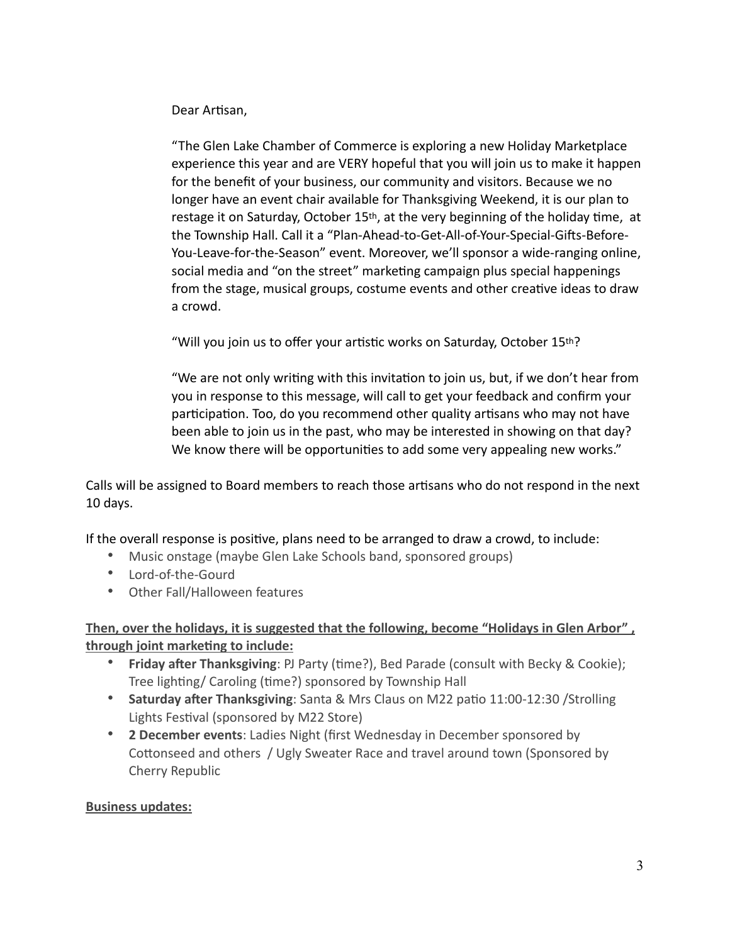Dear Artisan,

"The Glen Lake Chamber of Commerce is exploring a new Holiday Marketplace experience this year and are VERY hopeful that you will join us to make it happen for the benefit of your business, our community and visitors. Because we no longer have an event chair available for Thanksgiving Weekend, it is our plan to restage it on Saturday, October 15th, at the very beginning of the holiday time, at the Township Hall. Call it a "Plan-Ahead-to-Get-All-of-Your-Special-Gifts-Before-You-Leave-for-the-Season" event. Moreover, we'll sponsor a wide-ranging online, social media and "on the street" marketing campaign plus special happenings from the stage, musical groups, costume events and other creative ideas to draw a crowd.

"Will you join us to offer your artistic works on Saturday, October 15th?

"We are not only writing with this invitation to join us, but, if we don't hear from you in response to this message, will call to get your feedback and confirm your participation. Too, do you recommend other quality artisans who may not have been able to join us in the past, who may be interested in showing on that day? We know there will be opportunities to add some very appealing new works."

Calls will be assigned to Board members to reach those artisans who do not respond in the next 10 days.

If the overall response is positive, plans need to be arranged to draw a crowd, to include:

- Music onstage (maybe Glen Lake Schools band, sponsored groups)
- Lord-of-the-Gourd
- Other Fall/Halloween features

# **Then, over the holidays, it is suggested that the following, become "Holidays in Glen Arbor" , through joint marketing to include:**

- **Friday after Thanksgiving**: PJ Party (time?), Bed Parade (consult with Becky & Cookie); Tree lighting/ Caroling (time?) sponsored by Township Hall
- **Saturday after Thanksgiving**: Santa & Mrs Claus on M22 patio 11:00-12:30 /Strolling Lights Festival (sponsored by M22 Store)
- **2 December events**: Ladies Night (first Wednesday in December sponsored by Cottonseed and others / Ugly Sweater Race and travel around town (Sponsored by Cherry Republic

### **Business updates:**